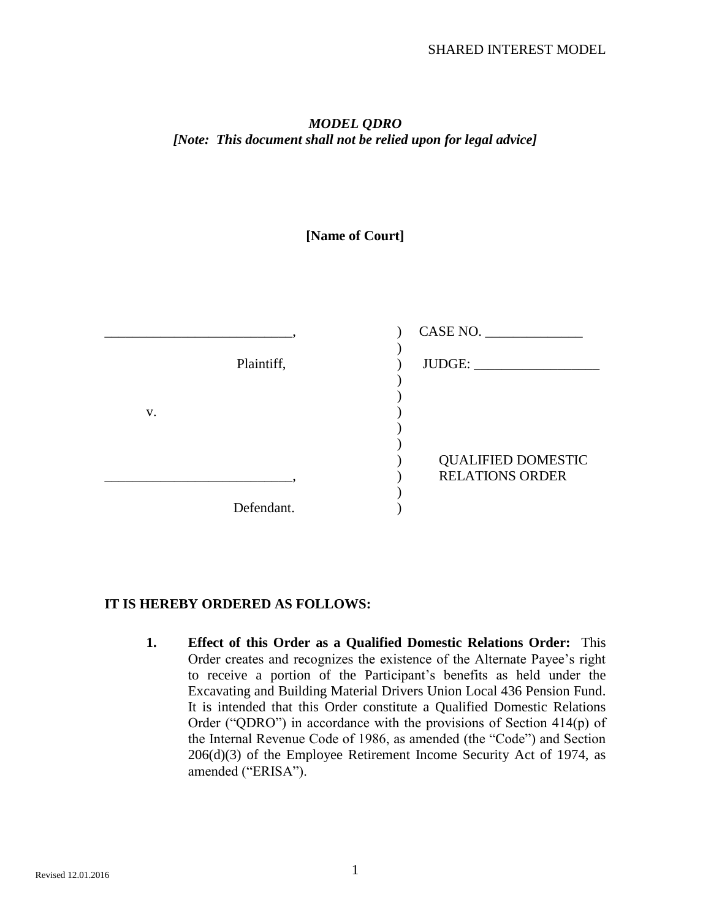## *MODEL QDRO [Note: This document shall not be relied upon for legal advice]*

## **[Name of Court]**



## **IT IS HEREBY ORDERED AS FOLLOWS:**

**1. Effect of this Order as a Qualified Domestic Relations Order:** This Order creates and recognizes the existence of the Alternate Payee's right to receive a portion of the Participant's benefits as held under the Excavating and Building Material Drivers Union Local 436 Pension Fund. It is intended that this Order constitute a Qualified Domestic Relations Order ("QDRO") in accordance with the provisions of Section 414(p) of the Internal Revenue Code of 1986, as amended (the "Code") and Section  $206(d)(3)$  of the Employee Retirement Income Security Act of 1974, as amended ("ERISA").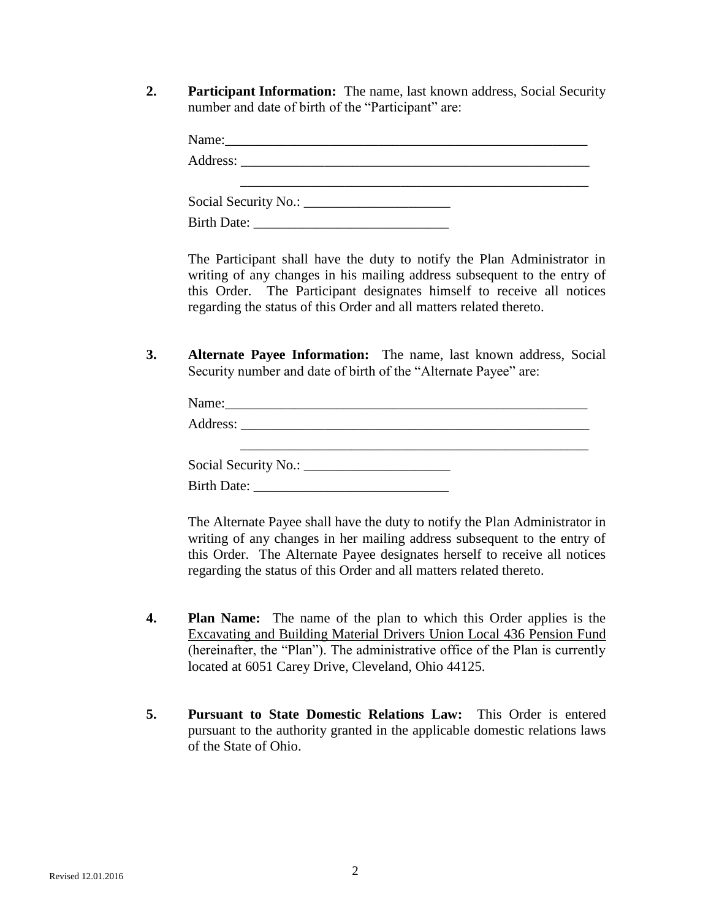**2. Participant Information:** The name, last known address, Social Security number and date of birth of the "Participant" are:

| Name:              |  |
|--------------------|--|
|                    |  |
|                    |  |
|                    |  |
| <b>Birth Date:</b> |  |

The Participant shall have the duty to notify the Plan Administrator in writing of any changes in his mailing address subsequent to the entry of this Order. The Participant designates himself to receive all notices regarding the status of this Order and all matters related thereto.

**3. Alternate Payee Information:** The name, last known address, Social Security number and date of birth of the "Alternate Payee" are:

| Name: 2008. 2008. 2010. 2010. 2010. 2010. 2010. 2010. 2010. 2010. 2010. 2010. 2010. 2010. 2010. 2010. 2010. 20 |  |  |
|----------------------------------------------------------------------------------------------------------------|--|--|
|                                                                                                                |  |  |
|                                                                                                                |  |  |
|                                                                                                                |  |  |
|                                                                                                                |  |  |

The Alternate Payee shall have the duty to notify the Plan Administrator in writing of any changes in her mailing address subsequent to the entry of this Order. The Alternate Payee designates herself to receive all notices regarding the status of this Order and all matters related thereto.

- **4. Plan Name:** The name of the plan to which this Order applies is the Excavating and Building Material Drivers Union Local 436 Pension Fund (hereinafter, the "Plan"). The administrative office of the Plan is currently located at 6051 Carey Drive, Cleveland, Ohio 44125.
- **5. Pursuant to State Domestic Relations Law:** This Order is entered pursuant to the authority granted in the applicable domestic relations laws of the State of Ohio.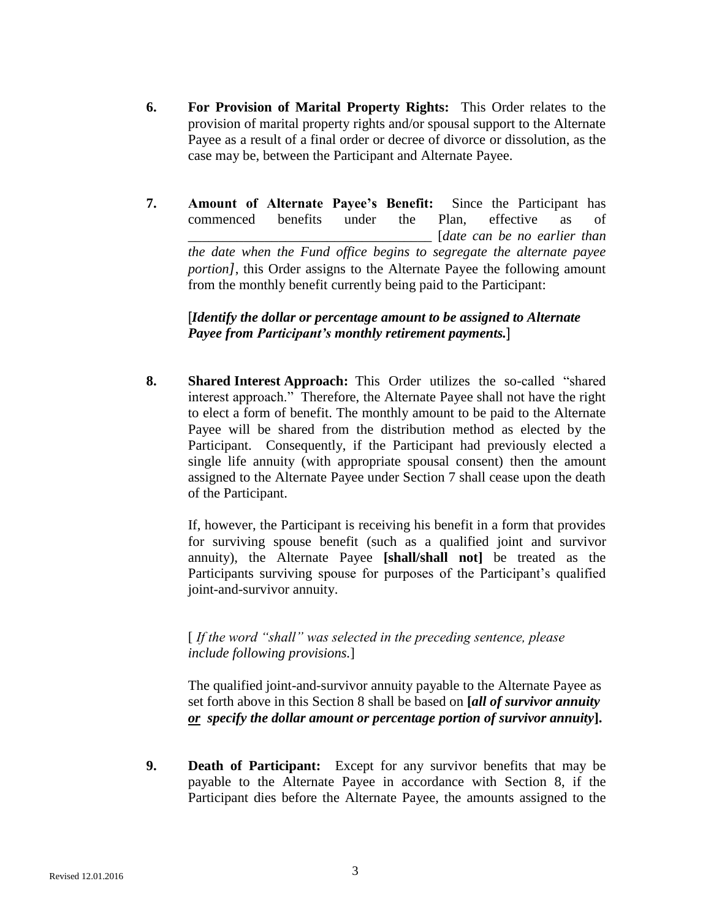- **6. For Provision of Marital Property Rights:** This Order relates to the provision of marital property rights and/or spousal support to the Alternate Payee as a result of a final order or decree of divorce or dissolution, as the case may be, between the Participant and Alternate Payee.
- **7. Amount of Alternate Payee's Benefit:** Since the Participant has commenced benefits under the Plan, effective as of \_\_\_\_\_\_\_\_\_\_\_\_\_\_\_\_\_\_\_\_\_\_\_\_\_\_\_\_\_\_\_\_\_\_\_ [*date can be no earlier than the date when the Fund office begins to segregate the alternate payee portion]*, this Order assigns to the Alternate Payee the following amount from the monthly benefit currently being paid to the Participant:

[*Identify the dollar or percentage amount to be assigned to Alternate Payee from Participant's monthly retirement payments.*]

**8. Shared Interest Approach:** This Order utilizes the so-called "shared interest approach." Therefore, the Alternate Payee shall not have the right to elect a form of benefit. The monthly amount to be paid to the Alternate Payee will be shared from the distribution method as elected by the Participant. Consequently, if the Participant had previously elected a single life annuity (with appropriate spousal consent) then the amount assigned to the Alternate Payee under Section 7 shall cease upon the death of the Participant.

If, however, the Participant is receiving his benefit in a form that provides for surviving spouse benefit (such as a qualified joint and survivor annuity), the Alternate Payee **[shall/shall not]** be treated as the Participants surviving spouse for purposes of the Participant's qualified joint-and-survivor annuity.

[ *If the word "shall" was selected in the preceding sentence, please include following provisions.*]

The qualified joint-and-survivor annuity payable to the Alternate Payee as set forth above in this Section 8 shall be based on **[***all of survivor annuity or specify the dollar amount or percentage portion of survivor annuity***].**

**9. Death of Participant:** Except for any survivor benefits that may be payable to the Alternate Payee in accordance with Section 8, if the Participant dies before the Alternate Payee, the amounts assigned to the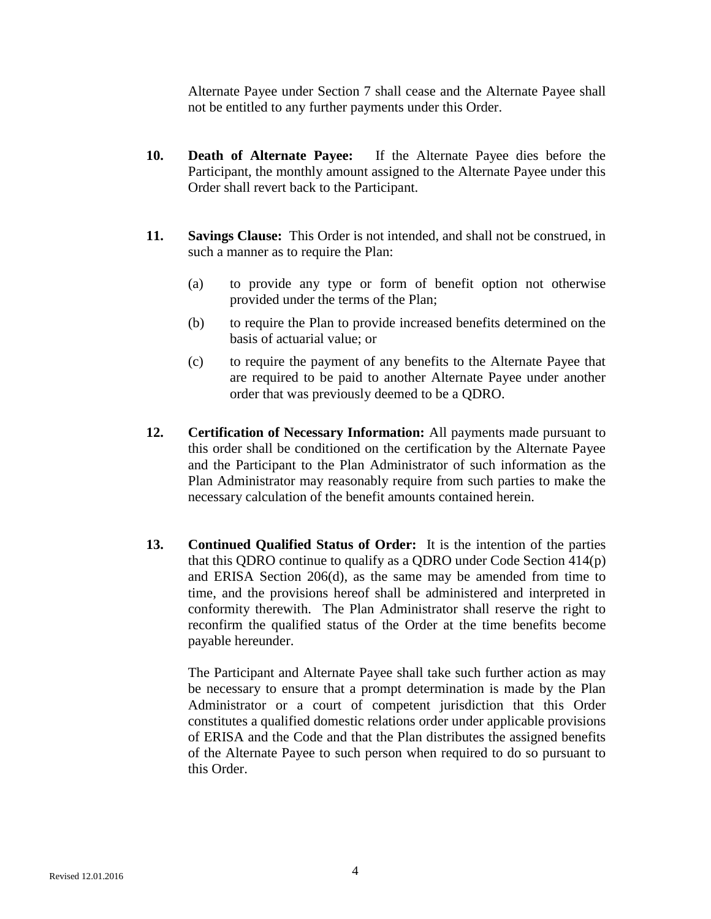Alternate Payee under Section 7 shall cease and the Alternate Payee shall not be entitled to any further payments under this Order.

- **10. Death of Alternate Payee:** If the Alternate Payee dies before the Participant, the monthly amount assigned to the Alternate Payee under this Order shall revert back to the Participant.
- **11. Savings Clause:** This Order is not intended, and shall not be construed, in such a manner as to require the Plan:
	- (a) to provide any type or form of benefit option not otherwise provided under the terms of the Plan;
	- (b) to require the Plan to provide increased benefits determined on the basis of actuarial value; or
	- (c) to require the payment of any benefits to the Alternate Payee that are required to be paid to another Alternate Payee under another order that was previously deemed to be a QDRO.
- **12. Certification of Necessary Information:** All payments made pursuant to this order shall be conditioned on the certification by the Alternate Payee and the Participant to the Plan Administrator of such information as the Plan Administrator may reasonably require from such parties to make the necessary calculation of the benefit amounts contained herein.
- **13. Continued Qualified Status of Order:** It is the intention of the parties that this QDRO continue to qualify as a QDRO under Code Section 414(p) and ERISA Section 206(d), as the same may be amended from time to time, and the provisions hereof shall be administered and interpreted in conformity therewith. The Plan Administrator shall reserve the right to reconfirm the qualified status of the Order at the time benefits become payable hereunder.

The Participant and Alternate Payee shall take such further action as may be necessary to ensure that a prompt determination is made by the Plan Administrator or a court of competent jurisdiction that this Order constitutes a qualified domestic relations order under applicable provisions of ERISA and the Code and that the Plan distributes the assigned benefits of the Alternate Payee to such person when required to do so pursuant to this Order.